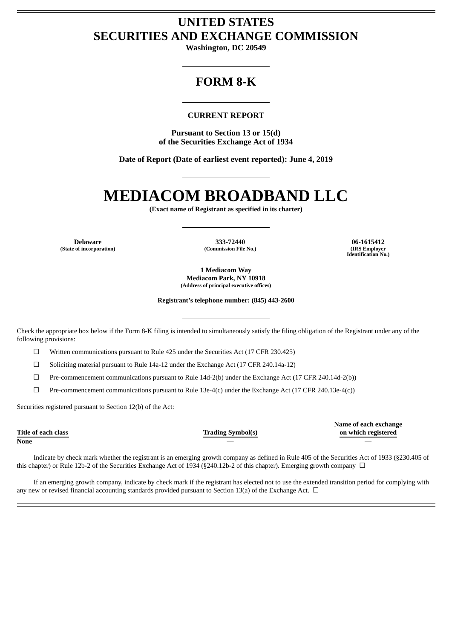## **UNITED STATES SECURITIES AND EXCHANGE COMMISSION**

**Washington, DC 20549**

## **FORM 8-K**

### **CURRENT REPORT**

**Pursuant to Section 13 or 15(d) of the Securities Exchange Act of 1934**

**Date of Report (Date of earliest event reported): June 4, 2019**

# **MEDIACOM BROADBAND LLC**

**(Exact name of Registrant as specified in its charter)**

**(State of incorporation) (Commission File No.) (IRS Employer**

**Delaware 333-72440 06-1615412**

**Identification No.)**

**1 Mediacom Way Mediacom Park, NY 10918 (Address of principal executive offices)**

**Registrant's telephone number: (845) 443-2600**

Check the appropriate box below if the Form 8-K filing is intended to simultaneously satisfy the filing obligation of the Registrant under any of the following provisions:

☐ Written communications pursuant to Rule 425 under the Securities Act (17 CFR 230.425)

 $\Box$  Soliciting material pursuant to Rule 14a-12 under the Exchange Act (17 CFR 240.14a-12)

☐ Pre-commencement communications pursuant to Rule 14d-2(b) under the Exchange Act (17 CFR 240.14d-2(b))

 $\Box$  Pre-commencement communications pursuant to Rule 13e-4(c) under the Exchange Act (17 CFR 240.13e-4(c))

Securities registered pursuant to Section 12(b) of the Act:

**Title of each class Trading Symbol(s)**

**Name of each exchange on which registered**

**None — —**

Indicate by check mark whether the registrant is an emerging growth company as defined in Rule 405 of the Securities Act of 1933 (§230.405 of this chapter) or Rule 12b-2 of the Securities Exchange Act of 1934 (§240.12b-2 of this chapter). Emerging growth company  $\Box$ 

If an emerging growth company, indicate by check mark if the registrant has elected not to use the extended transition period for complying with any new or revised financial accounting standards provided pursuant to Section 13(a) of the Exchange Act.  $\Box$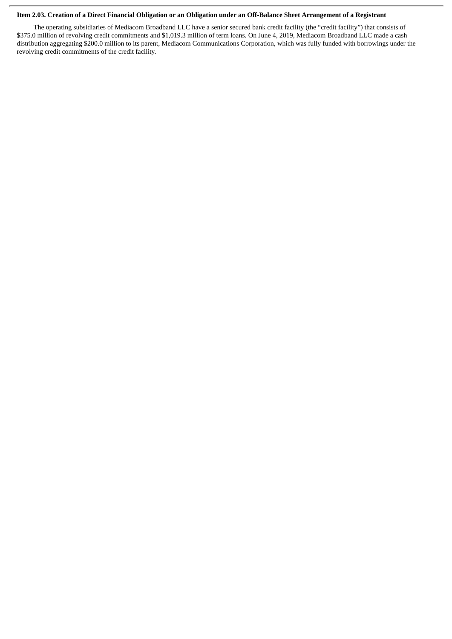#### Item 2.03. Creation of a Direct Financial Obligation or an Obligation under an Off-Balance Sheet Arrangement of a Registrant

The operating subsidiaries of Mediacom Broadband LLC have a senior secured bank credit facility (the "credit facility") that consists of \$375.0 million of revolving credit commitments and \$1,019.3 million of term loans. On June 4, 2019, Mediacom Broadband LLC made a cash distribution aggregating \$200.0 million to its parent, Mediacom Communications Corporation, which was fully funded with borrowings under the revolving credit commitments of the credit facility.